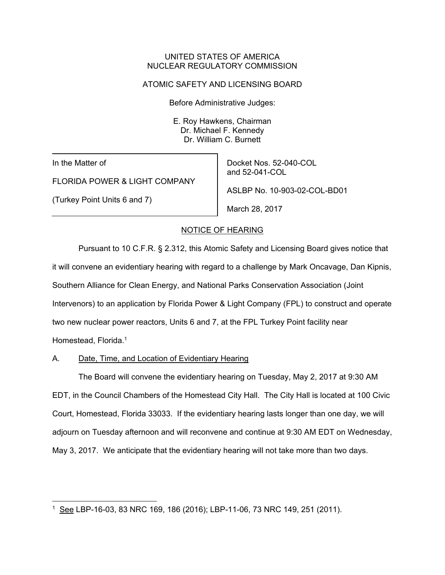#### UNITED STATES OF AMERICA NUCLEAR REGULATORY COMMISSION

### ATOMIC SAFETY AND LICENSING BOARD

Before Administrative Judges:

E. Roy Hawkens, Chairman Dr. Michael F. Kennedy Dr. William C. Burnett

In the Matter of

-

FLORIDA POWER & LIGHT COMPANY

(Turkey Point Units 6 and 7)

Docket Nos. 52-040-COL and 52-041-COL ASLBP No. 10-903-02-COL-BD01 March 28, 2017

# NOTICE OF HEARING

Pursuant to 10 C.F.R. § 2.312, this Atomic Safety and Licensing Board gives notice that it will convene an evidentiary hearing with regard to a challenge by Mark Oncavage, Dan Kipnis, Southern Alliance for Clean Energy, and National Parks Conservation Association (Joint Intervenors) to an application by Florida Power & Light Company (FPL) to construct and operate two new nuclear power reactors, Units 6 and 7, at the FPL Turkey Point facility near Homestead, Florida.<sup>1</sup>

# A. Date, Time, and Location of Evidentiary Hearing

The Board will convene the evidentiary hearing on Tuesday, May 2, 2017 at 9:30 AM EDT, in the Council Chambers of the Homestead City Hall. The City Hall is located at 100 Civic Court, Homestead, Florida 33033. If the evidentiary hearing lasts longer than one day, we will adjourn on Tuesday afternoon and will reconvene and continue at 9:30 AM EDT on Wednesday, May 3, 2017. We anticipate that the evidentiary hearing will not take more than two days.

<sup>1</sup> See LBP-16-03, 83 NRC 169, 186 (2016); LBP-11-06, 73 NRC 149, 251 (2011).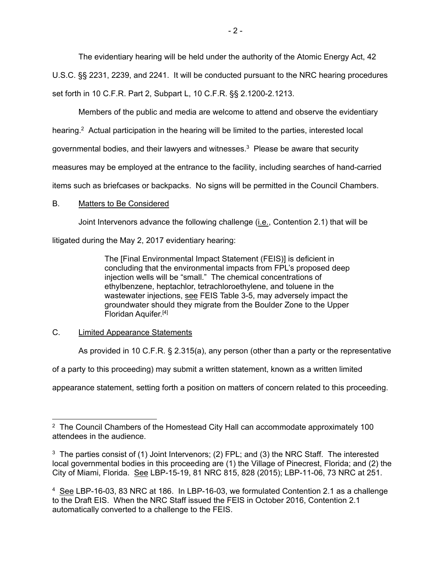The evidentiary hearing will be held under the authority of the Atomic Energy Act, 42 U.S.C. §§ 2231, 2239, and 2241. It will be conducted pursuant to the NRC hearing procedures set forth in 10 C.F.R. Part 2, Subpart L, 10 C.F.R. §§ 2.1200-2.1213.

Members of the public and media are welcome to attend and observe the evidentiary hearing.<sup>2</sup> Actual participation in the hearing will be limited to the parties, interested local governmental bodies, and their lawyers and witnesses.3 Please be aware that security measures may be employed at the entrance to the facility, including searches of hand-carried items such as briefcases or backpacks. No signs will be permitted in the Council Chambers.

### B. Matters to Be Considered

Joint Intervenors advance the following challenge (i.e., Contention 2.1) that will be

litigated during the May 2, 2017 evidentiary hearing:

The [Final Environmental Impact Statement (FEIS)] is deficient in concluding that the environmental impacts from FPL's proposed deep injection wells will be "small." The chemical concentrations of ethylbenzene, heptachlor, tetrachloroethylene, and toluene in the wastewater injections, see FEIS Table 3-5, may adversely impact the groundwater should they migrate from the Boulder Zone to the Upper Floridan Aquifer.[4]

# C. Limited Appearance Statements

As provided in 10 C.F.R. § 2.315(a), any person (other than a party or the representative

of a party to this proceeding) may submit a written statement, known as a written limited

appearance statement, setting forth a position on matters of concern related to this proceeding.

<sup>-</sup><sup>2</sup> The Council Chambers of the Homestead City Hall can accommodate approximately 100 attendees in the audience.

<sup>3</sup> The parties consist of (1) Joint Intervenors; (2) FPL; and (3) the NRC Staff. The interested local governmental bodies in this proceeding are (1) the Village of Pinecrest, Florida; and (2) the City of Miami, Florida. See LBP-15-19, 81 NRC 815, 828 (2015); LBP-11-06, 73 NRC at 251.

<sup>4</sup> See LBP-16-03, 83 NRC at 186. In LBP-16-03, we formulated Contention 2.1 as a challenge to the Draft EIS. When the NRC Staff issued the FEIS in October 2016, Contention 2.1 automatically converted to a challenge to the FEIS.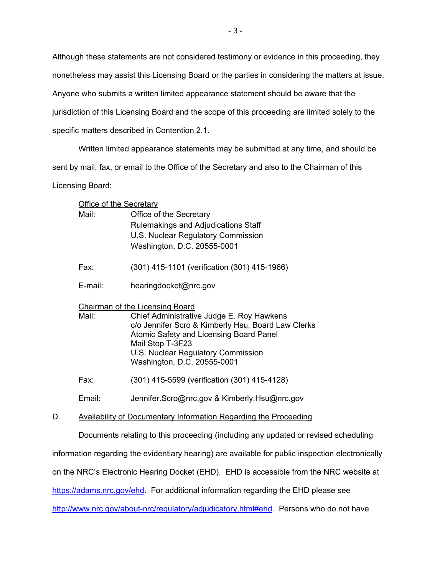Although these statements are not considered testimony or evidence in this proceeding, they

nonetheless may assist this Licensing Board or the parties in considering the matters at issue.

Anyone who submits a written limited appearance statement should be aware that the

jurisdiction of this Licensing Board and the scope of this proceeding are limited solely to the

specific matters described in Contention 2.1.

Written limited appearance statements may be submitted at any time, and should be

sent by mail, fax, or email to the Office of the Secretary and also to the Chairman of this

Licensing Board:

| <b>Office of the Secretary</b>         |                                                             |
|----------------------------------------|-------------------------------------------------------------|
| Mail:                                  | Office of the Secretary                                     |
|                                        | Rulemakings and Adjudications Staff                         |
|                                        | U.S. Nuclear Regulatory Commission                          |
|                                        | Washington, D.C. 20555-0001                                 |
| Fax:                                   | (301) 415-1101 (verification (301) 415-1966)                |
| E-mail:                                | hearingdocket@nrc.gov                                       |
| <b>Chairman of the Licensing Board</b> |                                                             |
| Mail:                                  | Chief Administrative Judge E. Roy Hawkens                   |
|                                        | c/o Jennifer Scro & Kimberly Hsu, Board Law Clerks          |
|                                        | Atomic Safety and Licensing Board Panel<br>Mail Stop T-3F23 |
|                                        | U.S. Nuclear Regulatory Commission                          |
|                                        | Washington, D.C. 20555-0001                                 |
| Fax:                                   | (301) 415-5599 (verification (301) 415-4128)                |
|                                        |                                                             |

Email: Jennifer.Scro@nrc.gov & Kimberly.Hsu@nrc.gov

D. Availability of Documentary Information Regarding the Proceeding

Documents relating to this proceeding (including any updated or revised scheduling

information regarding the evidentiary hearing) are available for public inspection electronically

on the NRC's Electronic Hearing Docket (EHD). EHD is accessible from the NRC website at

https://adams.nrc.gov/ehd. For additional information regarding the EHD please see

http://www.nrc.gov/about-nrc/regulatory/adjudicatory.html#ehd. Persons who do not have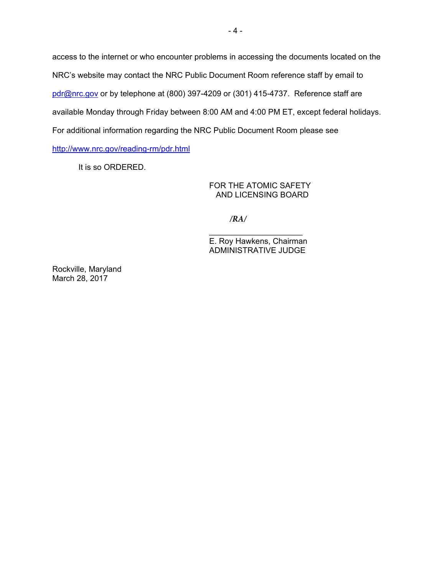access to the internet or who encounter problems in accessing the documents located on the NRC's website may contact the NRC Public Document Room reference staff by email to pdr@nrc.gov or by telephone at (800) 397-4209 or (301) 415-4737. Reference staff are available Monday through Friday between 8:00 AM and 4:00 PM ET, except federal holidays. For additional information regarding the NRC Public Document Room please see http://www.nrc.gov/reading-rm/pdr.html

It is so ORDERED.

FOR THE ATOMIC SAFETY AND LICENSING BOARD

*/RA/*

 $\overline{\phantom{a}}$  , and the set of the set of the set of the set of the set of the set of the set of the set of the set of the set of the set of the set of the set of the set of the set of the set of the set of the set of the s E. Roy Hawkens, Chairman ADMINISTRATIVE JUDGE

Rockville, Maryland March 28, 2017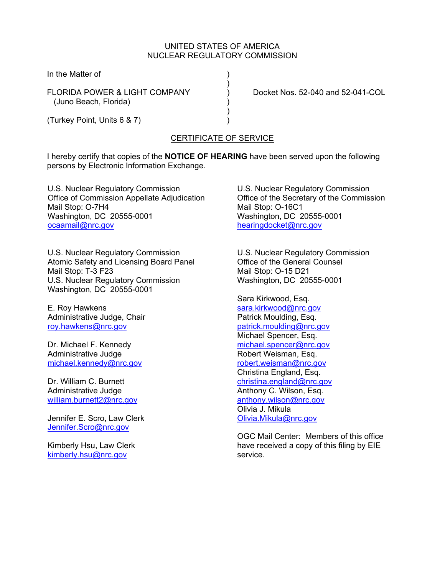## UNITED STATES OF AMERICA NUCLEAR REGULATORY COMMISSION

In the Matter of (1)

FLORIDA POWER & LIGHT COMPANY ) Docket Nos. 52-040 and 52-041-COL (Juno Beach, Florida) )

) and the contract of  $\mathcal{L}$ 

 $)$ (Turkey Point, Units 6 & 7) )

## CERTIFICATE OF SERVICE

I hereby certify that copies of the **NOTICE OF HEARING** have been served upon the following persons by Electronic Information Exchange.

U.S. Nuclear Regulatory Commission Office of Commission Appellate Adjudication Mail Stop: O-7H4 Washington, DC 20555-0001 ocaamail@nrc.gov

U.S. Nuclear Regulatory Commission Atomic Safety and Licensing Board Panel Mail Stop: T-3 F23 U.S. Nuclear Regulatory Commission Washington, DC 20555-0001

E. Roy Hawkens Administrative Judge, Chair roy.hawkens@nrc.gov

Dr. Michael F. Kennedy Administrative Judge michael.kennedy@nrc.gov

Dr. William C. Burnett Administrative Judge william.burnett2@nrc.gov

Jennifer E. Scro, Law Clerk Jennifer.Scro@nrc.gov

Kimberly Hsu, Law Clerk kimberly.hsu@nrc.gov

U.S. Nuclear Regulatory Commission Office of the Secretary of the Commission Mail Stop: O-16C1 Washington, DC 20555-0001 hearingdocket@nrc.gov

U.S. Nuclear Regulatory Commission Office of the General Counsel Mail Stop: O-15 D21 Washington, DC 20555-0001

Sara Kirkwood, Esq. sara.kirkwood@nrc.gov Patrick Moulding, Esq. patrick.moulding@nrc.gov Michael Spencer, Esq. michael.spencer@nrc.gov Robert Weisman, Esq. robert.weisman@nrc.gov Christina England, Esq. christina.england@nrc.gov Anthony C. Wilson, Esq. anthony.wilson@nrc.gov Olivia J. Mikula Olivia.Mikula@nrc.gov

OGC Mail Center: Members of this office have received a copy of this filing by EIE service.